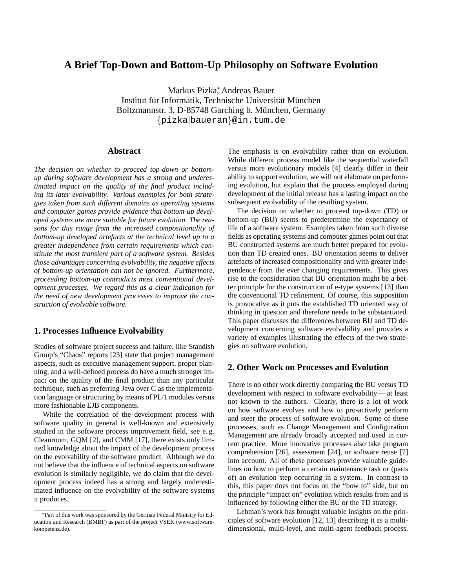# **A Brief Top-Down and Bottom-Up Philosophy on Software Evolution**

Markus Pizka<sup>\*</sup>, Andreas Bauer Institut für Informatik, Technische Universität München Boltzmannstr. 3, D-85748 Garching b. München, Germany {pizka|baueran}@in.tum.de

### **Abstract**

*The decision on whether to proceed top-down or bottomup during software development has a strong and underestimated impact on the quality of the final product including its later evolvability. Various examples for both strategies taken from such different domains as operating systems and computer games provide evidence that bottom-up developed systems are more suitable for future evolution. The reasons for this range from the increased compositionality of bottom-up developed artefacts at the technical level up to a greater independence from certain requirements which constitute the most transient part of a software system. Besides those advantages concerning evolvability, the negative effects of bottom-up orientation can not be ignored. Furthermore, proceeding bottom-up contradicts most conventional development processes. We regard this as a clear indication for the need of new development processes to improve the construction of evolvable software.*

## **1. Processes Influence Evolvability**

Studies of software project success and failure, like Standish Group's "Chaos" reports [23] state that project management aspects, such as executive management support, proper planning, and a well-defined process do have a much stronger impact on the quality of the final product than any particular technique, such as preferring Java over C as the implementation language or structuring by means of PL/1 modules versus more fashionable EJB components.

While the correlation of the development process with software quality in general is well-known and extensively studied in the software process improvement field, see e. g. Cleanroom, GQM [2], and CMM [17], there exists only limited knowledge about the impact of the development process on the evolvability of the software product. Although we do not believe that the influence of technical aspects on software evolution is similarly negligible, we do claim that the development process indeed has a strong and largely underestimated influence on the evolvability of the software systems it produces.

The emphasis is on evolvability rather than on evolution. While different process model like the sequential waterfall versus more evolutionary models [4] clearly differ in their ability to support evolution, we will not elaborate on performing evolution, but explain that the process employed during development of the initial release has a lasting impact on the subsequent evolvability of the resulting system.

The decision on whether to proceed top-down (TD) or bottom-up (BU) seems to predetermine the expectancy of life of a software system. Examples taken from such diverse fields as operating systems and computer games point out that BU constructed systems are much better prepared for evolution than TD created ones. BU orientation seems to deliver artefacts of increased compositionality and with greater independence from the ever changing requirements. This gives rise to the consideration that BU orientation might be a better principle for the construction of e-type systems [13] than the conventional TD refinement. Of course, this supposition is provocative as it puts the established TD oriented way of thinking in question and therefore needs to be substantiated. This paper discusses the differences between BU and TD development concerning software evolvability and provides a variety of examples illustrating the effects of the two strategies on software evolution.

# **2. Other Work on Processes and Evolution**

There is no other work directly comparing the BU versus TD development with respect to software evolvability — at least not known to the authors. Clearly, there is a lot of work on how software evolves and how to pro-actively perform and steer the process of software evolution. Some of these processes, such as Change Management and Configuration Management are already broadly accepted and used in current practice. More innovative processes also take program comprehension [26], assessment [24], or software reuse [7] into account. All of these processes provide valuable guidelines on how to perform a certain maintenance task or (parts of) an evolution step occurring in a system. In contrast to this, this paper does not focus on the "how to" side, but on the principle "impact on" evolution which results from and is influenced by following either the BU or the TD strategy.

Lehman's work has brought valuable insights on the principles of software evolution [12, 13] describing it as a multidimensional, multi-level, and multi-agent feedback process.

<sup>∗</sup>Part of this work was sponsored by the German Federal Ministry for Education and Research (BMBF) as part of the project VSEK (www.softwarekompetenz.de).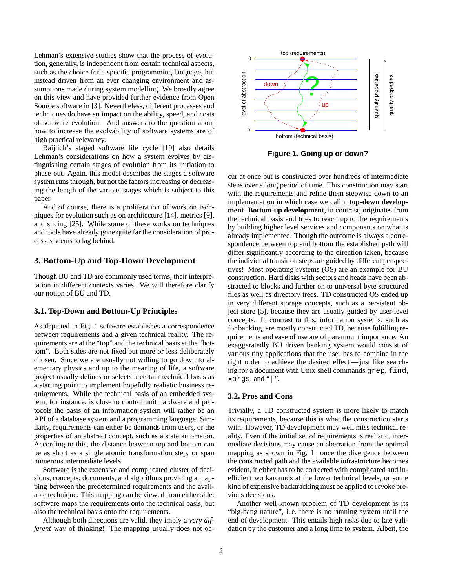Lehman's extensive studies show that the process of evolution, generally, is independent from certain technical aspects, such as the choice for a specific programming language, but instead driven from an ever changing environment and assumptions made during system modelling. We broadly agree on this view and have provided further evidence from Open Source software in [3]. Nevertheless, different processes and techniques do have an impact on the ability, speed, and costs of software evolution. And answers to the question about how to increase the evolvability of software systems are of high practical relevancy.

Raijlich's staged software life cycle [19] also details Lehman's considerations on how a system evolves by distinguishing certain stages of evolution from its initiation to phase-out. Again, this model describes the stages a software system runs through, but not the factors increasing or decreasing the length of the various stages which is subject to this paper.

And of course, there is a proliferation of work on techniques for evolution such as on architecture [14], metrics [9], and slicing [25]. While some of these works on techniques and tools have already gone quite far the consideration of processes seems to lag behind.

### **3. Bottom-Up and Top-Down Development**

Though BU and TD are commonly used terms, their interpretation in different contexts varies. We will therefore clarify our notion of BU and TD.

#### **3.1. Top-Down and Bottom-Up Principles**

As depicted in Fig. 1 software establishes a correspondence between requirements and a given technical reality. The requirements are at the "top" and the technical basis at the "bottom". Both sides are not fixed but more or less deliberately chosen. Since we are usually not willing to go down to elementary physics and up to the meaning of life, a software project usually defines or selects a certain technical basis as a starting point to implement hopefully realistic business requirements. While the technical basis of an embedded system, for instance, is close to control unit hardware and protocols the basis of an information system will rather be an API of a database system and a programming language. Similarly, requirements can either be demands from users, or the properties of an abstract concept, such as a state automaton. According to this, the distance between top and bottom can be as short as a single atomic transformation step, or span numerous intermediate levels.

Software is the extensive and complicated cluster of decisions, concepts, documents, and algorithms providing a mapping between the predetermined requirements and the available technique. This mapping can be viewed from either side: software maps the requirements onto the technical basis, but also the technical basis onto the requirements.

Although both directions are valid, they imply a *very different* way of thinking! The mapping usually does not oc-



**Figure 1. Going up or down?**

cur at once but is constructed over hundreds of intermediate steps over a long period of time. This construction may start with the requirements and refine them stepwise down to an implementation in which case we call it **top-down development**. **Bottom-up development**, in contrast, originates from the technical basis and tries to reach up to the requirements by building higher level services and components on what is already implemented. Though the outcome is always a correspondence between top and bottom the established path will differ significantly according to the direction taken, because the individual transition steps are guided by different perspectives! Most operating systems (OS) are an example for BU construction. Hard disks with sectors and heads have been abstracted to blocks and further on to universal byte structured files as well as directory trees. TD constructed OS ended up in very different storage concepts, such as a persistent object store [5], because they are usually guided by user-level concepts. In contrast to this, information systems, such as for banking, are mostly constructed TD, because fulfilling requirements and ease of use are of paramount importance. An exaggeratedly BU driven banking system would consist of various tiny applications that the user has to combine in the right order to achieve the desired effect — just like searching for a document with Unix shell commands grep, find, xargs, and " | ".

### **3.2. Pros and Cons**

Trivially, a TD constructed system is more likely to match its requirements, because this is what the construction starts with. However, TD development may well miss technical reality. Even if the initial set of requirements is realistic, intermediate decisions may cause an aberration from the optimal mapping as shown in Fig. 1: once the divergence between the constructed path and the available infrastructure becomes evident, it either has to be corrected with complicated and inefficient workarounds at the lower technical levels, or some kind of expensive backtracking must be applied to revoke previous decisions.

Another well-known problem of TD development is its "big-bang nature", i. e. there is no running system until the end of development. This entails high risks due to late validation by the customer and a long time to system. Albeit, the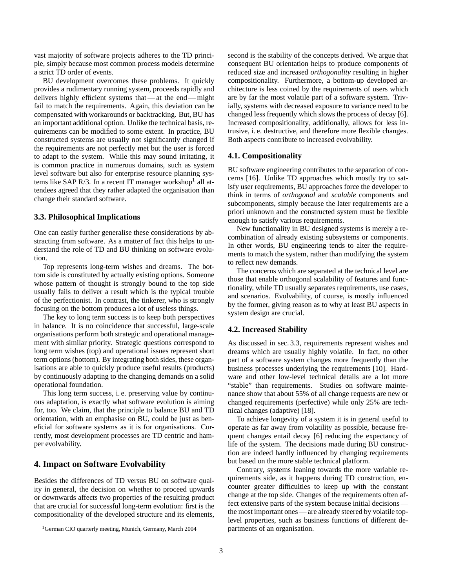vast majority of software projects adheres to the TD principle, simply because most common process models determine a strict TD order of events.

BU development overcomes these problems. It quickly provides a rudimentary running system, proceeds rapidly and delivers highly efficient systems that — at the end — might fail to match the requirements. Again, this deviation can be compensated with workarounds or backtracking. But, BU has an important additional option. Unlike the technical basis, requirements can be modified to some extent. In practice, BU constructed systems are usually not significantly changed if the requirements are not perfectly met but the user is forced to adapt to the system. While this may sound irritating, it is common practice in numerous domains, such as system level software but also for enterprise resource planning systems like SAP R/3. In a recent IT manager workshop<sup>1</sup> all attendees agreed that they rather adapted the organisation than change their standard software.

### **3.3. Philosophical Implications**

One can easily further generalise these considerations by abstracting from software. As a matter of fact this helps to understand the role of TD and BU thinking on software evolution.

Top represents long-term wishes and dreams. The bottom side is constituted by actually existing options. Someone whose pattern of thought is strongly bound to the top side usually fails to deliver a result which is the typical trouble of the perfectionist. In contrast, the tinkerer, who is strongly focusing on the bottom produces a lot of useless things.

The key to long term success is to keep both perspectives in balance. It is no coincidence that successful, large-scale organisations perform both strategic and operational management with similar priority. Strategic questions correspond to long term wishes (top) and operational issues represent short term options (bottom). By integrating both sides, these organisations are able to quickly produce useful results (products) by continuously adapting to the changing demands on a solid operational foundation.

This long term success, i. e. preserving value by continuous adaptation, is exactly what software evolution is aiming for, too. We claim, that the principle to balance BU and TD orientation, with an emphasise on BU, could be just as beneficial for software systems as it is for organisations. Currently, most development processes are TD centric and hamper evolvability.

# **4. Impact on Software Evolvability**

Besides the differences of TD versus BU on software quality in general, the decision on whether to proceed upwards or downwards affects two properties of the resulting product that are crucial for successful long-term evolution: first is the compositionality of the developed structure and its elements, second is the stability of the concepts derived. We argue that consequent BU orientation helps to produce components of reduced size and increased *orthogonality* resulting in higher compositionality. Furthermore, a bottom-up developed architecture is less coined by the requirements of users which are by far the most volatile part of a software system. Trivially, systems with decreased exposure to variance need to be changed less frequently which slows the process of decay [6]. Increased compositionality, additionally, allows for less intrusive, i. e. destructive, and therefore more flexible changes. Both aspects contribute to increased evolvability.

#### **4.1. Compositionality**

BU software engineering contributes to the separation of concerns [16]. Unlike TD approaches which mostly try to satisfy user requirements, BU approaches force the developer to think in terms of *orthogonal* and *scalable* components and subcomponents, simply because the later requirements are a priori unknown and the constructed system must be flexible enough to satisfy various requirements.

New functionality in BU designed systems is merely a recombination of already existing subsystems or components. In other words, BU engineering tends to alter the requirements to match the system, rather than modifying the system to reflect new demands.

The concerns which are separated at the technical level are those that enable orthogonal scalability of features and functionality, while TD usually separates requirements, use cases, and scenarios. Evolvability, of course, is mostly influenced by the former, giving reason as to why at least BU aspects in system design are crucial.

### **4.2. Increased Stability**

As discussed in sec. 3.3, requirements represent wishes and dreams which are usually highly volatile. In fact, no other part of a software system changes more frequently than the business processes underlying the requirements [10]. Hardware and other low-level technical details are a lot more "stable" than requirements. Studies on software maintenance show that about 55% of all change requests are new or changed requirements (perfective) while only 25% are technical changes (adaptive) [18].

To achieve longevity of a system it is in general useful to operate as far away from volatility as possible, because frequent changes entail decay [6] reducing the expectancy of life of the system. The decisions made during BU construction are indeed hardly influenced by changing requirements but based on the more stable technical platform.

Contrary, systems leaning towards the more variable requirements side, as it happens during TD construction, encounter greater difficulties to keep up with the constant change at the top side. Changes of the requirements often affect extensive parts of the system because initial decisions the most important ones — are already steered by volatile toplevel properties, such as business functions of different departments of an organisation.

<sup>&</sup>lt;sup>1</sup>German CIO quarterly meeting, Munich, Germany, March 2004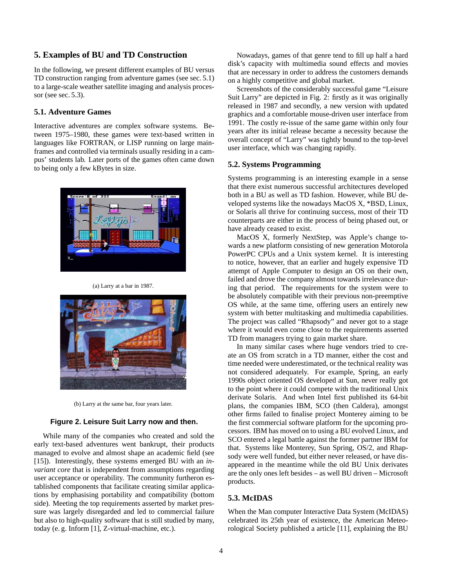### **5. Examples of BU and TD Construction**

In the following, we present different examples of BU versus TD construction ranging from adventure games (see sec. 5.1) to a large-scale weather satellite imaging and analysis processor (see sec. 5.3).

### **5.1. Adventure Games**

Interactive adventures are complex software systems. Between 1975–1980, these games were text-based written in languages like FORTRAN, or LISP running on large mainframes and controlled via terminals usually residing in a campus' students lab. Later ports of the games often came down to being only a few kBytes in size.



(a) Larry at a bar in 1987.



(b) Larry at the same bar, four years later.

#### **Figure 2. Leisure Suit Larry now and then.**

While many of the companies who created and sold the early text-based adventures went bankrupt, their products managed to evolve and almost shape an academic field (see [15]). Interestingly, these systems emerged BU with an *invariant core* that is independent from assumptions regarding user acceptance or operability. The community furtheron established components that facilitate creating similar applications by emphasising portability and compatibility (bottom side). Meeting the top requirements asserted by market pressure was largely disregarded and led to commercial failure but also to high-quality software that is still studied by many, today (e. g. Inform [1], Z-virtual-machine, etc.).

Nowadays, games of that genre tend to fill up half a hard disk's capacity with multimedia sound effects and movies that are necessary in order to address the customers demands on a highly competitive and global market.

Screenshots of the considerably successful game "Leisure Suit Larry" are depicted in Fig. 2: firstly as it was originally released in 1987 and secondly, a new version with updated graphics and a comfortable mouse-driven user interface from 1991. The costly re-issue of the same game within only four years after its initial release became a necessity because the overall concept of "Larry" was tightly bound to the top-level user interface, which was changing rapidly.

#### **5.2. Systems Programming**

Systems programming is an interesting example in a sense that there exist numerous successful architectures developed both in a BU as well as TD fashion. However, while BU developed systems like the nowadays MacOS X, \*BSD, Linux, or Solaris all thrive for continuing success, most of their TD counterparts are either in the process of being phased out, or have already ceased to exist.

MacOS X, formerly NextStep, was Apple's change towards a new platform consisting of new generation Motorola PowerPC CPUs and a Unix system kernel. It is interesting to notice, however, that an earlier and hugely expensive TD attempt of Apple Computer to design an OS on their own, failed and drove the company almost towards irrelevance during that period. The requirements for the system were to be absolutely compatible with their previous non-preemptive OS while, at the same time, offering users an entirely new system with better multitasking and multimedia capabilities. The project was called "Rhapsody" and never got to a stage where it would even come close to the requirements asserted TD from managers trying to gain market share.

In many similar cases where huge vendors tried to create an OS from scratch in a TD manner, either the cost and time needed were underestimated, or the technical reality was not considered adequately. For example, Spring, an early 1990s object oriented OS developed at Sun, never really got to the point where it could compete with the traditional Unix derivate Solaris. And when Intel first published its 64-bit plans, the companies IBM, SCO (then Caldera), amongst other firms failed to finalise project Monterey aiming to be the first commercial software platform for the upcoming processors. IBM has moved on to using a BU evolved Linux, and SCO entered a legal battle against the former partner IBM for that. Systems like Monterey, Sun Spring, OS/2, and Rhapsody were well funded, but either never released, or have disappeared in the meantime while the old BU Unix derivates are the only ones left besides – as well BU driven – Microsoft products.

### **5.3. McIDAS**

When the Man computer Interactive Data System (McIDAS) celebrated its 25th year of existence, the American Meteorological Society published a article [11], explaining the BU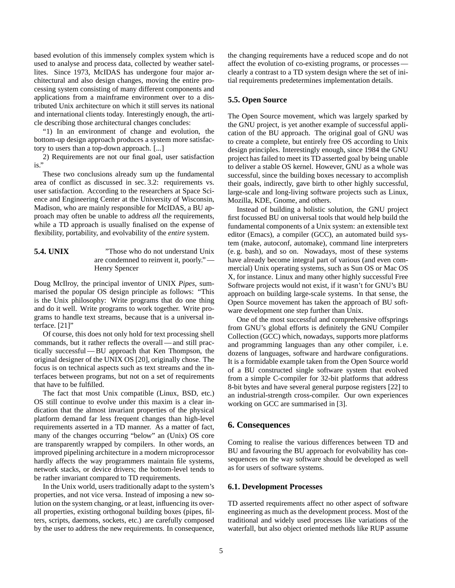based evolution of this immensely complex system which is used to analyse and process data, collected by weather satellites. Since 1973, McIDAS has undergone four major architectural and also design changes, moving the entire processing system consisting of many different components and applications from a mainframe environment over to a distributed Unix architecture on which it still serves its national and international clients today. Interestingly enough, the article describing those architectural changes concludes:

"1) In an environment of change and evolution, the bottom-up design approach produces a system more satisfactory to users than a top-down approach. [...]

2) Requirements are not our final goal, user satisfaction  $i_S$ "

These two conclusions already sum up the fundamental area of conflict as discussed in sec. 3.2: requirements vs. user satisfaction. According to the researchers at Space Science and Engineering Center at the University of Wisconsin, Madison, who are mainly responsible for McIDAS, a BU approach may often be unable to address *all* the requirements, while a TD approach is usually finalised on the expense of flexibility, portability, and evolvability of the *entire* system.

| <b>5.4. UNIX</b> |     |
|------------------|-----|
|                  | are |

**5.4. UNIX** "Those who do not understand Unix are condemned to reinvent it, poorly." — Henry Spencer

Doug McIlroy, the principal inventor of UNIX *Pipes*, summarised the popular OS design principle as follows: "This is the Unix philosophy: Write programs that do one thing and do it well. Write programs to work together. Write programs to handle text streams, because that is a universal interface. [21]"

Of course, this does not only hold for text processing shell commands, but it rather reflects the overall — and still practically successful — BU approach that Ken Thompson, the original designer of the UNIX OS [20], originally chose. The focus is on technical aspects such as text streams and the interfaces between programs, but not on a set of requirements that have to be fulfilled.

The fact that most Unix compatible (Linux, BSD, etc.) OS still continue to evolve under this maxim is a clear indication that the almost invariant properties of the physical platform demand far less frequent changes than high-level requirements asserted in a TD manner. As a matter of fact, many of the changes occurring "below" an (Unix) OS core are transparently wrapped by compilers. In other words, an improved pipelining architecture in a modern microprocessor hardly affects the way programmers maintain file systems, network stacks, or device drivers; the bottom-level tends to be rather invariant compared to TD requirements.

In the Unix world, users traditionally adapt to the system's properties, and not vice versa. Instead of imposing a new solution on the system changing, or at least, influencing its overall properties, existing orthogonal building boxes (pipes, filters, scripts, daemons, sockets, etc.) are carefully composed by the user to address the new requirements. In consequence, the changing requirements have a reduced scope and do not affect the evolution of co-existing programs, or processes clearly a contrast to a TD system design where the set of initial requirements predetermines implementation details.

### **5.5. Open Source**

The Open Source movement, which was largely sparked by the GNU project, is yet another example of successful application of the BU approach. The original goal of GNU was to create a complete, but entirely free OS according to Unix design principles. Interestingly enough, since 1984 the GNU project has failed to meet its TD asserted goal by being unable to deliver a stable OS kernel. However, GNU as a whole was successful, since the building boxes necessary to accomplish their goals, indirectly, gave birth to other highly successful, large-scale and long-living software projects such as Linux, Mozilla, KDE, Gnome, and others.

Instead of building a holistic solution, the GNU project first focussed BU on universal tools that would help build the fundamental components of a Unix system: an extensible text editor (Emacs), a compiler (GCC), an automated build system (make, autoconf, automake), command line interpreters (e. g. bash), and so on. Nowadays, most of these systems have already become integral part of various (and even commercial) Unix operating systems, such as Sun OS or Mac OS X, for instance. Linux and many other highly successful Free Software projects would not exist, if it wasn't for GNU's BU approach on building large-scale systems. In that sense, the Open Source movement has taken the approach of BU software development one step further than Unix.

One of the most successful and comprehensive offsprings from GNU's global efforts is definitely the GNU Compiler Collection (GCC) which, nowadays, supports more platforms and programming languages than any other compiler, i. e. dozens of languages, software and hardware configurations. It is a formidable example taken from the Open Source world of a BU constructed single software system that evolved from a simple C-compiler for 32-bit platforms that address 8-bit bytes and have several general purpose registers [22] to an industrial-strength cross-compiler. Our own experiences working on GCC are summarised in [3].

#### **6. Consequences**

Coming to realise the various differences between TD and BU and favouring the BU approach for evolvability has consequences on the way software should be developed as well as for users of software systems.

#### **6.1. Development Processes**

TD asserted requirements affect no other aspect of software engineering as much as the development process. Most of the traditional and widely used processes like variations of the waterfall, but also object oriented methods like RUP assume